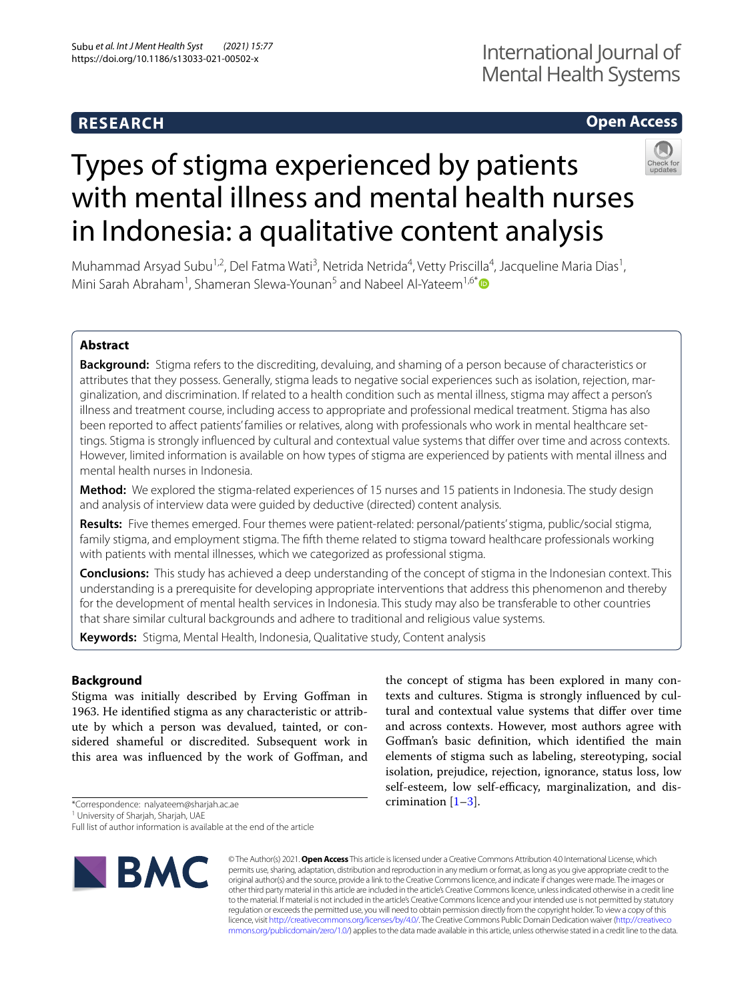# **RESEARCH**

# **Open Access**

# Types of stigma experienced by patients with mental illness and mental health nurses in Indonesia: a qualitative content analysis

Muhammad Arsyad Subu<sup>1,2</sup>, Del Fatma Wati<sup>3</sup>, Netrida Netrida<sup>4</sup>, Vetty Priscilla<sup>4</sup>, Jacqueline Maria Dias<sup>1</sup>, Mini Sarah Abraham<sup>1</sup>, Shameran Slewa-Younan<sup>5</sup> and Nabeel Al-Yateem<sup>1,6[\\*](http://orcid.org/0000-0001-5355-8639)</sup>

# **Abstract**

**Background:** Stigma refers to the discrediting, devaluing, and shaming of a person because of characteristics or attributes that they possess. Generally, stigma leads to negative social experiences such as isolation, rejection, marginalization, and discrimination. If related to a health condition such as mental illness, stigma may afect a person's illness and treatment course, including access to appropriate and professional medical treatment. Stigma has also been reported to affect patients' families or relatives, along with professionals who work in mental healthcare settings. Stigma is strongly infuenced by cultural and contextual value systems that difer over time and across contexts. However, limited information is available on how types of stigma are experienced by patients with mental illness and mental health nurses in Indonesia.

**Method:** We explored the stigma-related experiences of 15 nurses and 15 patients in Indonesia. The study design and analysis of interview data were guided by deductive (directed) content analysis.

**Results:** Five themes emerged. Four themes were patient-related: personal/patients' stigma, public/social stigma, family stigma, and employment stigma. The ffth theme related to stigma toward healthcare professionals working with patients with mental illnesses, which we categorized as professional stigma.

**Conclusions:** This study has achieved a deep understanding of the concept of stigma in the Indonesian context. This understanding is a prerequisite for developing appropriate interventions that address this phenomenon and thereby for the development of mental health services in Indonesia. This study may also be transferable to other countries that share similar cultural backgrounds and adhere to traditional and religious value systems.

**Keywords:** Stigma, Mental Health, Indonesia, Qualitative study, Content analysis

## **Background**

Stigma was initially described by Erving Gofman in 1963. He identifed stigma as any characteristic or attribute by which a person was devalued, tainted, or considered shameful or discredited. Subsequent work in this area was infuenced by the work of Gofman, and

\*Correspondence: nalyateem@sharjah.ac.ae

<sup>1</sup> University of Sharjah, Sharjah, UAE

Full list of author information is available at the end of the article



the concept of stigma has been explored in many contexts and cultures. Stigma is strongly infuenced by cultural and contextual value systems that difer over time and across contexts. However, most authors agree with Gofman's basic defnition, which identifed the main elements of stigma such as labeling, stereotyping, social isolation, prejudice, rejection, ignorance, status loss, low self-esteem, low self-efficacy, marginalization, and discrimination [\[1](#page-9-0)[–3](#page-9-1)].

© The Author(s) 2021. **Open Access** This article is licensed under a Creative Commons Attribution 4.0 International License, which permits use, sharing, adaptation, distribution and reproduction in any medium or format, as long as you give appropriate credit to the original author(s) and the source, provide a link to the Creative Commons licence, and indicate if changes were made. The images or other third party material in this article are included in the article's Creative Commons licence, unless indicated otherwise in a credit line to the material. If material is not included in the article's Creative Commons licence and your intended use is not permitted by statutory regulation or exceeds the permitted use, you will need to obtain permission directly from the copyright holder. To view a copy of this licence, visit [http://creativecommons.org/licenses/by/4.0/.](http://creativecommons.org/licenses/by/4.0/) The Creative Commons Public Domain Dedication waiver ([http://creativeco](http://creativecommons.org/publicdomain/zero/1.0/) [mmons.org/publicdomain/zero/1.0/](http://creativecommons.org/publicdomain/zero/1.0/)) applies to the data made available in this article, unless otherwise stated in a credit line to the data.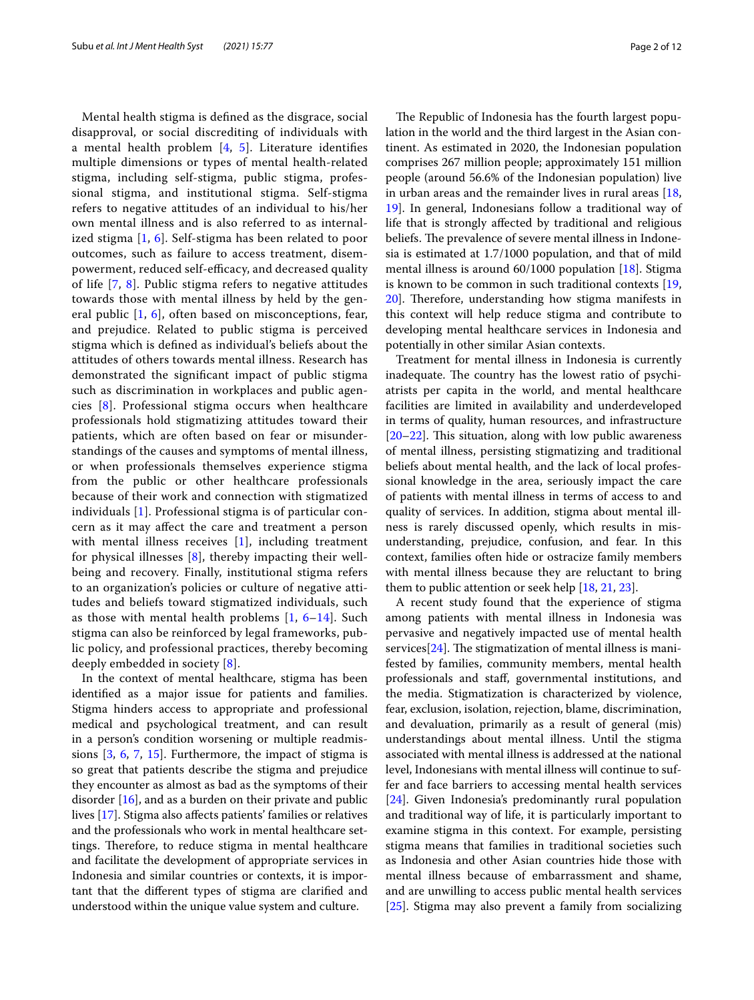Mental health stigma is defned as the disgrace, social disapproval, or social discrediting of individuals with a mental health problem  $[4, 5]$  $[4, 5]$  $[4, 5]$  $[4, 5]$ . Literature identifies multiple dimensions or types of mental health-related stigma, including self-stigma, public stigma, professional stigma, and institutional stigma. Self-stigma refers to negative attitudes of an individual to his/her own mental illness and is also referred to as internalized stigma [[1,](#page-9-0) [6](#page-9-4)]. Self-stigma has been related to poor outcomes, such as failure to access treatment, disempowerment, reduced self-efficacy, and decreased quality of life [[7,](#page-9-5) [8\]](#page-9-6). Public stigma refers to negative attitudes towards those with mental illness by held by the general public [[1,](#page-9-0) [6\]](#page-9-4), often based on misconceptions, fear, and prejudice. Related to public stigma is perceived stigma which is defned as individual's beliefs about the attitudes of others towards mental illness. Research has demonstrated the signifcant impact of public stigma such as discrimination in workplaces and public agencies [[8](#page-9-6)]. Professional stigma occurs when healthcare professionals hold stigmatizing attitudes toward their patients, which are often based on fear or misunderstandings of the causes and symptoms of mental illness, or when professionals themselves experience stigma from the public or other healthcare professionals because of their work and connection with stigmatized individuals [[1](#page-9-0)]. Professional stigma is of particular concern as it may afect the care and treatment a person with mental illness receives [\[1](#page-9-0)], including treatment for physical illnesses [\[8\]](#page-9-6), thereby impacting their wellbeing and recovery. Finally, institutional stigma refers to an organization's policies or culture of negative attitudes and beliefs toward stigmatized individuals, such as those with mental health problems  $[1, 6-14]$  $[1, 6-14]$  $[1, 6-14]$  $[1, 6-14]$  $[1, 6-14]$ . Such stigma can also be reinforced by legal frameworks, public policy, and professional practices, thereby becoming deeply embedded in society [\[8](#page-9-6)].

In the context of mental healthcare, stigma has been identifed as a major issue for patients and families. Stigma hinders access to appropriate and professional medical and psychological treatment, and can result in a person's condition worsening or multiple readmissions [\[3](#page-9-1), [6,](#page-9-4) [7,](#page-9-5) [15](#page-10-1)]. Furthermore, the impact of stigma is so great that patients describe the stigma and prejudice they encounter as almost as bad as the symptoms of their disorder [[16](#page-10-2)], and as a burden on their private and public lives [\[17\]](#page-10-3). Stigma also afects patients' families or relatives and the professionals who work in mental healthcare settings. Therefore, to reduce stigma in mental healthcare and facilitate the development of appropriate services in Indonesia and similar countries or contexts, it is important that the diferent types of stigma are clarifed and understood within the unique value system and culture.

The Republic of Indonesia has the fourth largest population in the world and the third largest in the Asian continent. As estimated in 2020, the Indonesian population comprises 267 million people; approximately 151 million people (around 56.6% of the Indonesian population) live in urban areas and the remainder lives in rural areas [[18](#page-10-4), [19\]](#page-10-5). In general, Indonesians follow a traditional way of life that is strongly afected by traditional and religious beliefs. The prevalence of severe mental illness in Indonesia is estimated at 1.7/1000 population, and that of mild mental illness is around 60/1000 population [\[18\]](#page-10-4). Stigma is known to be common in such traditional contexts [[19](#page-10-5), [20\]](#page-10-6). Therefore, understanding how stigma manifests in this context will help reduce stigma and contribute to developing mental healthcare services in Indonesia and potentially in other similar Asian contexts.

Treatment for mental illness in Indonesia is currently inadequate. The country has the lowest ratio of psychiatrists per capita in the world, and mental healthcare facilities are limited in availability and underdeveloped in terms of quality, human resources, and infrastructure  $[20-22]$  $[20-22]$ . This situation, along with low public awareness of mental illness, persisting stigmatizing and traditional beliefs about mental health, and the lack of local professional knowledge in the area, seriously impact the care of patients with mental illness in terms of access to and quality of services. In addition, stigma about mental illness is rarely discussed openly, which results in misunderstanding, prejudice, confusion, and fear. In this context, families often hide or ostracize family members with mental illness because they are reluctant to bring them to public attention or seek help [\[18](#page-10-4), [21,](#page-10-8) [23\]](#page-10-9).

A recent study found that the experience of stigma among patients with mental illness in Indonesia was pervasive and negatively impacted use of mental health services $[24]$  $[24]$ . The stigmatization of mental illness is manifested by families, community members, mental health professionals and staf, governmental institutions, and the media. Stigmatization is characterized by violence, fear, exclusion, isolation, rejection, blame, discrimination, and devaluation, primarily as a result of general (mis) understandings about mental illness. Until the stigma associated with mental illness is addressed at the national level, Indonesians with mental illness will continue to suffer and face barriers to accessing mental health services [[24\]](#page-10-10). Given Indonesia's predominantly rural population and traditional way of life, it is particularly important to examine stigma in this context. For example, persisting stigma means that families in traditional societies such as Indonesia and other Asian countries hide those with mental illness because of embarrassment and shame, and are unwilling to access public mental health services [[25\]](#page-10-11). Stigma may also prevent a family from socializing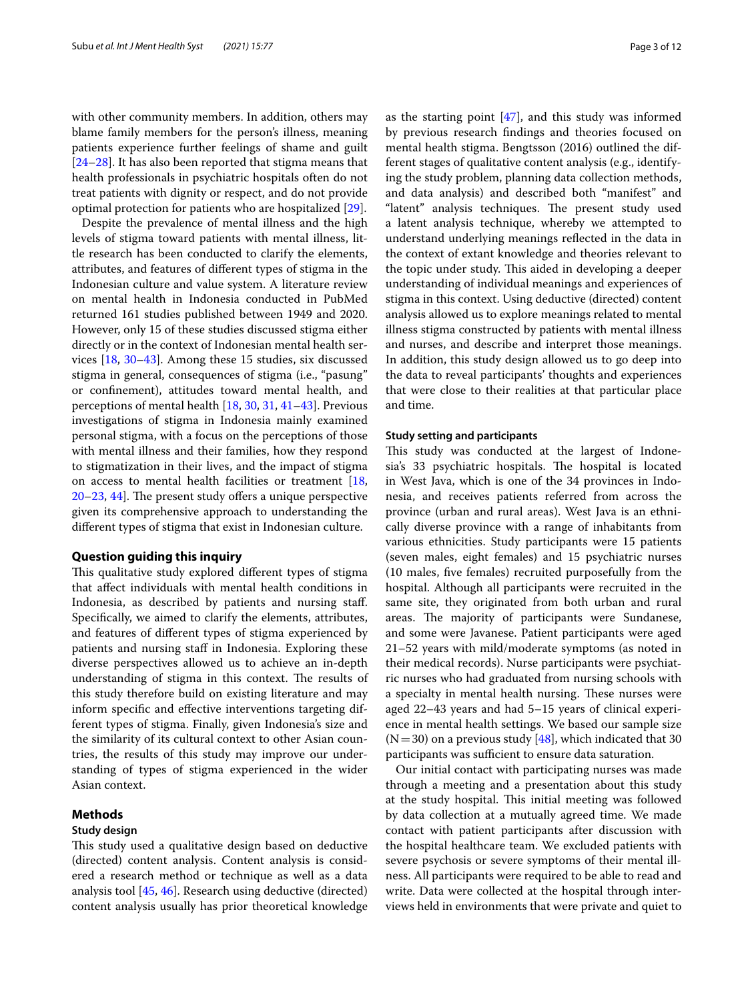with other community members. In addition, others may blame family members for the person's illness, meaning patients experience further feelings of shame and guilt [[24–](#page-10-10)[28](#page-10-12)]. It has also been reported that stigma means that health professionals in psychiatric hospitals often do not treat patients with dignity or respect, and do not provide optimal protection for patients who are hospitalized [\[29](#page-10-13)].

Despite the prevalence of mental illness and the high levels of stigma toward patients with mental illness, little research has been conducted to clarify the elements, attributes, and features of diferent types of stigma in the Indonesian culture and value system. A literature review on mental health in Indonesia conducted in PubMed returned 161 studies published between 1949 and 2020. However, only 15 of these studies discussed stigma either directly or in the context of Indonesian mental health services [[18,](#page-10-4) [30–](#page-10-14)[43\]](#page-10-15). Among these 15 studies, six discussed stigma in general, consequences of stigma (i.e., "pasung" or confnement), attitudes toward mental health, and perceptions of mental health [[18,](#page-10-4) [30,](#page-10-14) [31](#page-10-16), [41–](#page-10-17)[43](#page-10-15)]. Previous investigations of stigma in Indonesia mainly examined personal stigma, with a focus on the perceptions of those with mental illness and their families, how they respond to stigmatization in their lives, and the impact of stigma on access to mental health facilities or treatment [\[18](#page-10-4),  $20-23$  $20-23$ ,  $44$ ]. The present study offers a unique perspective given its comprehensive approach to understanding the diferent types of stigma that exist in Indonesian culture.

#### **Question guiding this inquiry**

This qualitative study explored different types of stigma that afect individuals with mental health conditions in Indonesia, as described by patients and nursing staf. Specifcally, we aimed to clarify the elements, attributes, and features of diferent types of stigma experienced by patients and nursing staff in Indonesia. Exploring these diverse perspectives allowed us to achieve an in-depth understanding of stigma in this context. The results of this study therefore build on existing literature and may inform specifc and efective interventions targeting different types of stigma. Finally, given Indonesia's size and the similarity of its cultural context to other Asian countries, the results of this study may improve our understanding of types of stigma experienced in the wider Asian context.

### **Methods**

#### **Study design**

This study used a qualitative design based on deductive (directed) content analysis. Content analysis is considered a research method or technique as well as a data analysis tool [[45](#page-10-19), [46\]](#page-10-20). Research using deductive (directed) content analysis usually has prior theoretical knowledge

as the starting point [\[47\]](#page-10-21), and this study was informed by previous research fndings and theories focused on mental health stigma. Bengtsson (2016) outlined the different stages of qualitative content analysis (e.g., identifying the study problem, planning data collection methods, and data analysis) and described both "manifest" and "latent" analysis techniques. The present study used a latent analysis technique, whereby we attempted to understand underlying meanings refected in the data in the context of extant knowledge and theories relevant to the topic under study. This aided in developing a deeper understanding of individual meanings and experiences of stigma in this context. Using deductive (directed) content analysis allowed us to explore meanings related to mental illness stigma constructed by patients with mental illness and nurses, and describe and interpret those meanings. In addition, this study design allowed us to go deep into the data to reveal participants' thoughts and experiences that were close to their realities at that particular place and time.

#### **Study setting and participants**

This study was conducted at the largest of Indonesia's 33 psychiatric hospitals. The hospital is located in West Java, which is one of the 34 provinces in Indonesia, and receives patients referred from across the province (urban and rural areas). West Java is an ethnically diverse province with a range of inhabitants from various ethnicities. Study participants were 15 patients (seven males, eight females) and 15 psychiatric nurses (10 males, fve females) recruited purposefully from the hospital. Although all participants were recruited in the same site, they originated from both urban and rural areas. The majority of participants were Sundanese, and some were Javanese. Patient participants were aged 21–52 years with mild/moderate symptoms (as noted in their medical records). Nurse participants were psychiatric nurses who had graduated from nursing schools with a specialty in mental health nursing. These nurses were aged 22–43 years and had 5–15 years of clinical experience in mental health settings. We based our sample size  $(N=30)$  on a previous study [\[48](#page-10-22)], which indicated that 30 participants was sufficient to ensure data saturation.

Our initial contact with participating nurses was made through a meeting and a presentation about this study at the study hospital. This initial meeting was followed by data collection at a mutually agreed time. We made contact with patient participants after discussion with the hospital healthcare team. We excluded patients with severe psychosis or severe symptoms of their mental illness. All participants were required to be able to read and write. Data were collected at the hospital through interviews held in environments that were private and quiet to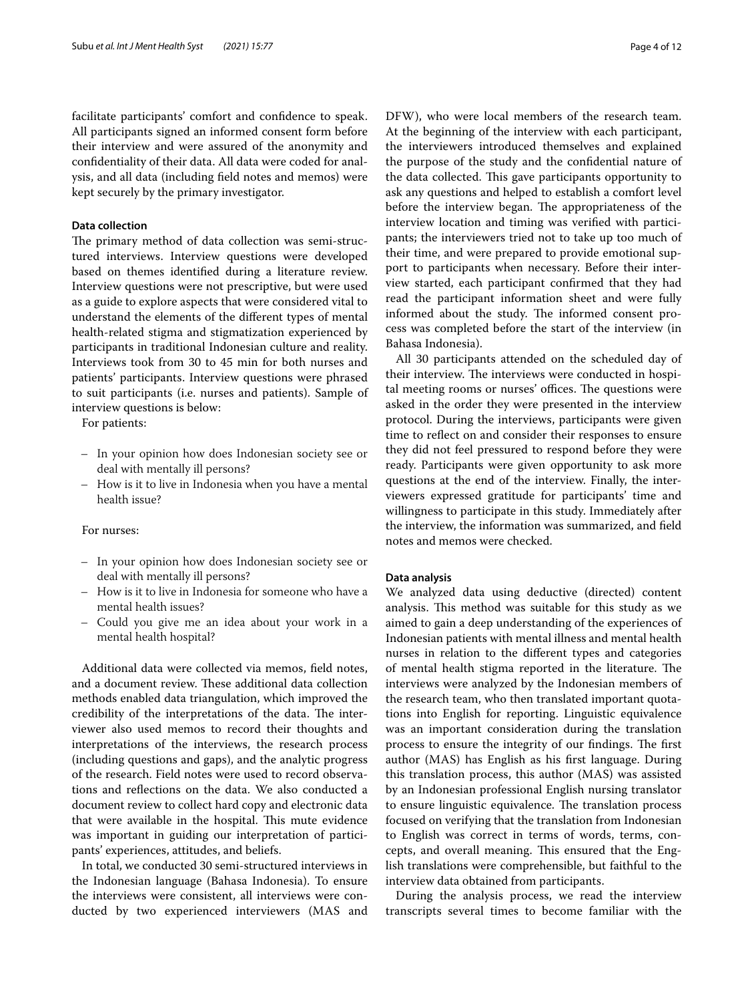facilitate participants' comfort and confdence to speak. All participants signed an informed consent form before their interview and were assured of the anonymity and confdentiality of their data. All data were coded for analysis, and all data (including feld notes and memos) were kept securely by the primary investigator.

#### **Data collection**

The primary method of data collection was semi-structured interviews. Interview questions were developed based on themes identifed during a literature review. Interview questions were not prescriptive, but were used as a guide to explore aspects that were considered vital to understand the elements of the diferent types of mental health-related stigma and stigmatization experienced by participants in traditional Indonesian culture and reality. Interviews took from 30 to 45 min for both nurses and patients' participants. Interview questions were phrased to suit participants (i.e. nurses and patients). Sample of interview questions is below:

For patients:

- In your opinion how does Indonesian society see or deal with mentally ill persons?
- How is it to live in Indonesia when you have a mental health issue?

#### For nurses:

- In your opinion how does Indonesian society see or deal with mentally ill persons?
- How is it to live in Indonesia for someone who have a mental health issues?
- Could you give me an idea about your work in a mental health hospital?

Additional data were collected via memos, feld notes, and a document review. These additional data collection methods enabled data triangulation, which improved the credibility of the interpretations of the data. The interviewer also used memos to record their thoughts and interpretations of the interviews, the research process (including questions and gaps), and the analytic progress of the research. Field notes were used to record observations and refections on the data. We also conducted a document review to collect hard copy and electronic data that were available in the hospital. This mute evidence was important in guiding our interpretation of participants' experiences, attitudes, and beliefs.

In total, we conducted 30 semi-structured interviews in the Indonesian language (Bahasa Indonesia). To ensure the interviews were consistent, all interviews were conducted by two experienced interviewers (MAS and DFW), who were local members of the research team. At the beginning of the interview with each participant, the interviewers introduced themselves and explained the purpose of the study and the confdential nature of the data collected. This gave participants opportunity to ask any questions and helped to establish a comfort level before the interview began. The appropriateness of the interview location and timing was verifed with participants; the interviewers tried not to take up too much of their time, and were prepared to provide emotional support to participants when necessary. Before their interview started, each participant confrmed that they had read the participant information sheet and were fully informed about the study. The informed consent process was completed before the start of the interview (in Bahasa Indonesia).

All 30 participants attended on the scheduled day of their interview. The interviews were conducted in hospital meeting rooms or nurses' offices. The questions were asked in the order they were presented in the interview protocol. During the interviews, participants were given time to refect on and consider their responses to ensure they did not feel pressured to respond before they were ready. Participants were given opportunity to ask more questions at the end of the interview. Finally, the interviewers expressed gratitude for participants' time and willingness to participate in this study. Immediately after the interview, the information was summarized, and feld notes and memos were checked.

#### **Data analysis**

We analyzed data using deductive (directed) content analysis. This method was suitable for this study as we aimed to gain a deep understanding of the experiences of Indonesian patients with mental illness and mental health nurses in relation to the diferent types and categories of mental health stigma reported in the literature. The interviews were analyzed by the Indonesian members of the research team, who then translated important quotations into English for reporting. Linguistic equivalence was an important consideration during the translation process to ensure the integrity of our findings. The first author (MAS) has English as his frst language. During this translation process, this author (MAS) was assisted by an Indonesian professional English nursing translator to ensure linguistic equivalence. The translation process focused on verifying that the translation from Indonesian to English was correct in terms of words, terms, concepts, and overall meaning. This ensured that the English translations were comprehensible, but faithful to the interview data obtained from participants.

During the analysis process, we read the interview transcripts several times to become familiar with the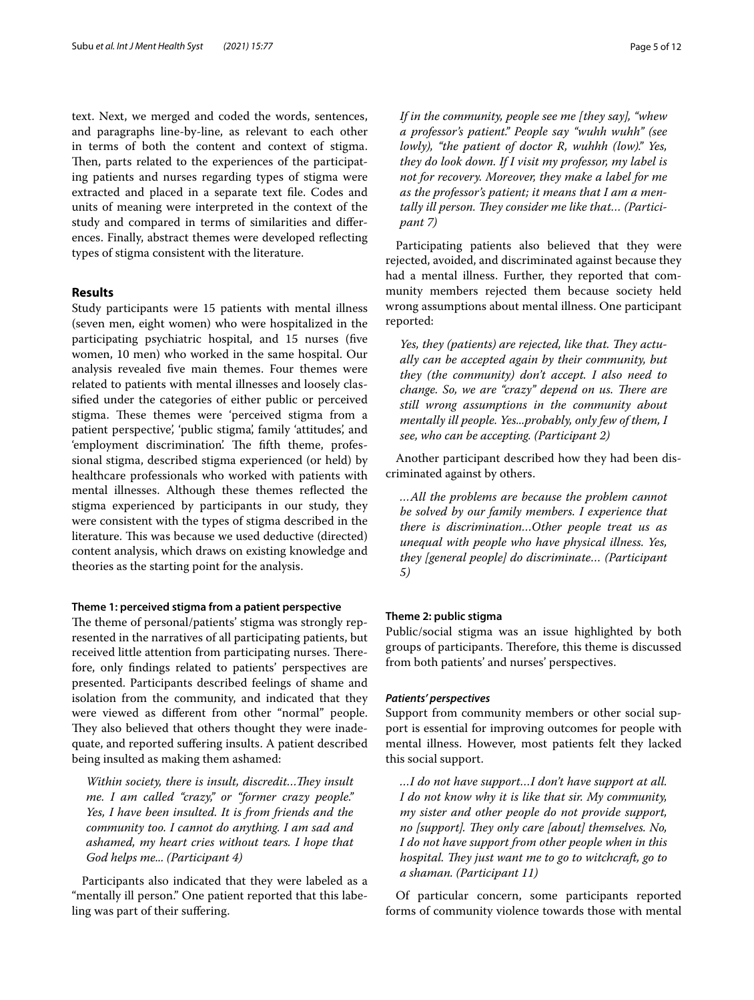text. Next, we merged and coded the words, sentences, and paragraphs line-by-line, as relevant to each other in terms of both the content and context of stigma. Then, parts related to the experiences of the participating patients and nurses regarding types of stigma were extracted and placed in a separate text fle. Codes and units of meaning were interpreted in the context of the study and compared in terms of similarities and diferences. Finally, abstract themes were developed refecting types of stigma consistent with the literature.

#### **Results**

Study participants were 15 patients with mental illness (seven men, eight women) who were hospitalized in the participating psychiatric hospital, and 15 nurses (fve women, 10 men) who worked in the same hospital. Our analysis revealed fve main themes. Four themes were related to patients with mental illnesses and loosely classifed under the categories of either public or perceived stigma. These themes were 'perceived stigma from a patient perspective', 'public stigma', family 'attitudes', and 'employment discrimination'. The fifth theme, professional stigma, described stigma experienced (or held) by healthcare professionals who worked with patients with mental illnesses. Although these themes refected the stigma experienced by participants in our study, they were consistent with the types of stigma described in the literature. This was because we used deductive (directed) content analysis, which draws on existing knowledge and theories as the starting point for the analysis.

#### **Theme 1: perceived stigma from a patient perspective**

The theme of personal/patients' stigma was strongly represented in the narratives of all participating patients, but received little attention from participating nurses. Therefore, only fndings related to patients' perspectives are presented. Participants described feelings of shame and isolation from the community, and indicated that they were viewed as diferent from other "normal" people. They also believed that others thought they were inadequate, and reported suffering insults. A patient described being insulted as making them ashamed:

*Within society, there is insult, discredit...They insult me. I am called "crazy," or "former crazy people." Yes, I have been insulted. It is from friends and the community too. I cannot do anything. I am sad and ashamed, my heart cries without tears. I hope that God helps me... (Participant 4)*

Participants also indicated that they were labeled as a "mentally ill person." One patient reported that this labeling was part of their suffering.

*If in the community, people see me [they say], "whew a professor's patient." People say "wuhh wuhh" (see lowly), "the patient of doctor R, wuhhh (low)." Yes, they do look down. If I visit my professor, my label is not for recovery. Moreover, they make a label for me as the professor's patient; it means that I am a men*tally ill person. They consider me like that... (Partici*pant 7)*

Participating patients also believed that they were rejected, avoided, and discriminated against because they had a mental illness. Further, they reported that community members rejected them because society held wrong assumptions about mental illness. One participant reported:

Yes, they (patients) are rejected, like that. They actu*ally can be accepted again by their community, but they (the community) don't accept. I also need to change. So, we are "crazy" depend on us. There are still wrong assumptions in the community about mentally ill people. Yes...probably, only few of them, I see, who can be accepting. (Participant 2)*

Another participant described how they had been discriminated against by others.

*…All the problems are because the problem cannot be solved by our family members. I experience that there is discrimination…Other people treat us as unequal with people who have physical illness. Yes, they [general people] do discriminate… (Participant 5)*

#### **Theme 2: public stigma**

Public/social stigma was an issue highlighted by both groups of participants. Therefore, this theme is discussed from both patients' and nurses' perspectives.

#### *Patients' perspectives*

Support from community members or other social support is essential for improving outcomes for people with mental illness. However, most patients felt they lacked this social support.

*…I do not have support…I don't have support at all. I do not know why it is like that sir. My community, my sister and other people do not provide support, no [support]. They only care [about] themselves. No, I do not have support from other people when in this hospital. They just want me to go to witchcraft, go to a shaman. (Participant 11)*

Of particular concern, some participants reported forms of community violence towards those with mental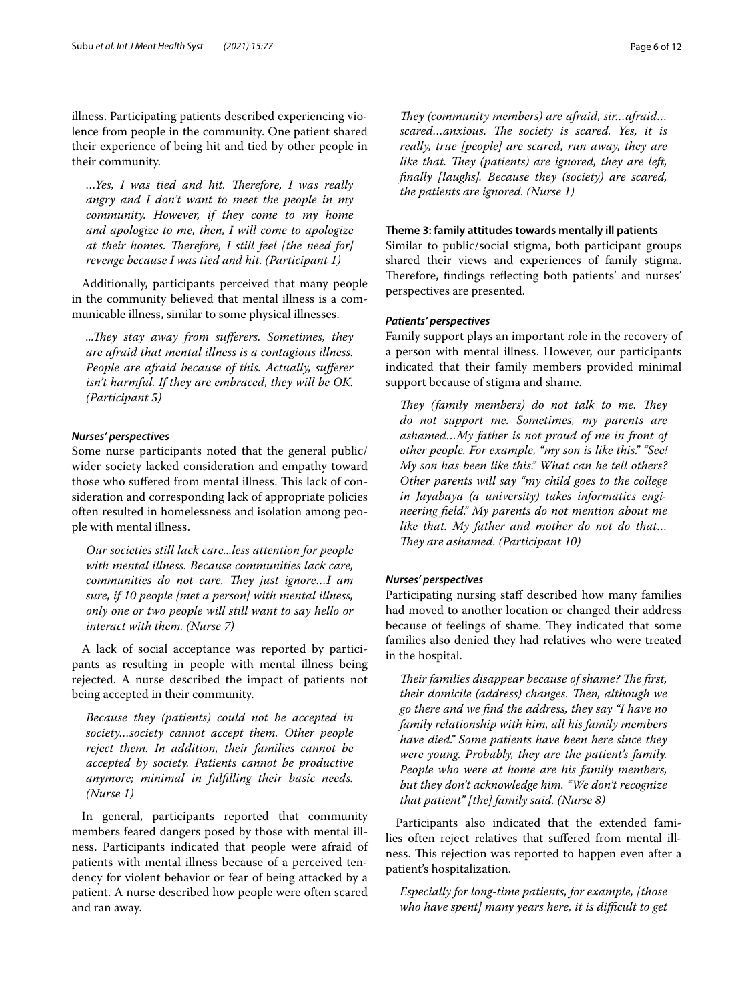illness. Participating patients described experiencing violence from people in the community. One patient shared their experience of being hit and tied by other people in their community.

*…Yes, I was tied and hit. Terefore, I was really angry and I don't want to meet the people in my community. However, if they come to my home and apologize to me, then, I will come to apologize at their homes. Therefore, I still feel [the need for] revenge because I was tied and hit. (Participant 1)*

Additionally, participants perceived that many people in the community believed that mental illness is a communicable illness, similar to some physical illnesses.

*...Tey stay away from suferers. Sometimes, they are afraid that mental illness is a contagious illness. People are afraid because of this. Actually, suferer isn't harmful. If they are embraced, they will be OK. (Participant 5)*

#### *Nurses' perspectives*

Some nurse participants noted that the general public/ wider society lacked consideration and empathy toward those who suffered from mental illness. This lack of consideration and corresponding lack of appropriate policies often resulted in homelessness and isolation among people with mental illness.

*Our societies still lack care...less attention for people with mental illness. Because communities lack care, communities do not care. They just ignore...I am sure, if 10 people [met a person] with mental illness, only one or two people will still want to say hello or interact with them. (Nurse 7)*

A lack of social acceptance was reported by participants as resulting in people with mental illness being rejected. A nurse described the impact of patients not being accepted in their community.

*Because they (patients) could not be accepted in society…society cannot accept them. Other people reject them. In addition, their families cannot be accepted by society. Patients cannot be productive anymore; minimal in fulflling their basic needs. (Nurse 1)*

In general, participants reported that community members feared dangers posed by those with mental illness. Participants indicated that people were afraid of patients with mental illness because of a perceived tendency for violent behavior or fear of being attacked by a patient. A nurse described how people were often scared and ran away.

*They (community members) are afraid, sir...afraid...* scared...anxious. The society is scared. Yes, it is *really, true [people] are scared, run away, they are like that. They (patients) are ignored, they are left, fnally [laughs]. Because they (society) are scared, the patients are ignored. (Nurse 1)*

#### **Theme 3: family attitudes towards mentally ill patients**

Similar to public/social stigma, both participant groups shared their views and experiences of family stigma. Therefore, findings reflecting both patients' and nurses' perspectives are presented.

#### *Patients' perspectives*

Family support plays an important role in the recovery of a person with mental illness. However, our participants indicated that their family members provided minimal support because of stigma and shame.

*They (family members) do not talk to me. They do not support me. Sometimes, my parents are ashamed…My father is not proud of me in front of other people. For example, "my son is like this." "See! My son has been like this." What can he tell others? Other parents will say "my child goes to the college in Jayabaya (a university) takes informatics engineering feld." My parents do not mention about me like that. My father and mother do not do that… They are ashamed. (Participant 10)* 

#### *Nurses' perspectives*

Participating nursing staff described how many families had moved to another location or changed their address because of feelings of shame. They indicated that some families also denied they had relatives who were treated in the hospital.

*Their families disappear because of shame? The first, their domicile (address) changes. Then, although we go there and we fnd the address, they say "I have no family relationship with him, all his family members have died." Some patients have been here since they were young. Probably, they are the patient's family. People who were at home are his family members, but they don't acknowledge him. "We don't recognize that patient" [the] family said. (Nurse 8)*

Participants also indicated that the extended families often reject relatives that sufered from mental illness. This rejection was reported to happen even after a patient's hospitalization.

*Especially for long-time patients, for example, [those who have spent] many years here, it is difcult to get*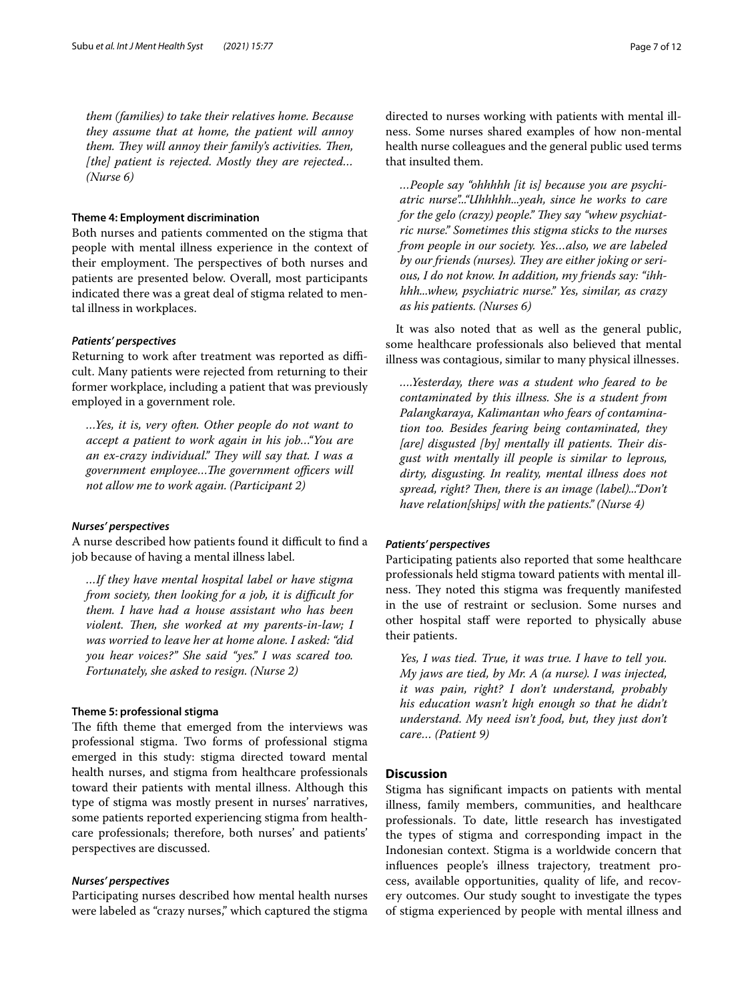*them (families) to take their relatives home. Because they assume that at home, the patient will annoy them. They will annoy their family's activities. Then, [the] patient is rejected. Mostly they are rejected… (Nurse 6)*

#### **Theme 4: Employment discrimination**

Both nurses and patients commented on the stigma that people with mental illness experience in the context of their employment. The perspectives of both nurses and patients are presented below. Overall, most participants indicated there was a great deal of stigma related to mental illness in workplaces.

#### *Patients' perspectives*

Returning to work after treatment was reported as difficult. Many patients were rejected from returning to their former workplace, including a patient that was previously employed in a government role.

*…Yes, it is, very often. Other people do not want to accept a patient to work again in his job…"You are an ex-crazy individual.*" They will say that. I was a government employee...The government officers will *not allow me to work again. (Participant 2)*

#### *Nurses' perspectives*

A nurse described how patients found it difficult to find a job because of having a mental illness label.

*…If they have mental hospital label or have stigma from society, then looking for a job, it is difcult for them. I have had a house assistant who has been violent. Then, she worked at my parents-in-law; I was worried to leave her at home alone. I asked: "did you hear voices?" She said "yes." I was scared too. Fortunately, she asked to resign. (Nurse 2)*

#### **Theme 5: professional stigma**

The fifth theme that emerged from the interviews was professional stigma. Two forms of professional stigma emerged in this study: stigma directed toward mental health nurses, and stigma from healthcare professionals toward their patients with mental illness. Although this type of stigma was mostly present in nurses' narratives, some patients reported experiencing stigma from healthcare professionals; therefore, both nurses' and patients' perspectives are discussed.

#### *Nurses' perspectives*

Participating nurses described how mental health nurses were labeled as "crazy nurses," which captured the stigma directed to nurses working with patients with mental illness. Some nurses shared examples of how non-mental health nurse colleagues and the general public used terms that insulted them.

*…People say "ohhhhh [it is] because you are psychiatric nurse"..."Uhhhhh...yeah, since he works to care for the gelo (crazy) people.*" They say "whew psychiat*ric nurse." Sometimes this stigma sticks to the nurses from people in our society. Yes…also, we are labeled*  by our friends (nurses). They are either joking or seri*ous, I do not know. In addition, my friends say: "ihhhhh...whew, psychiatric nurse." Yes, similar, as crazy as his patients. (Nurses 6)*

It was also noted that as well as the general public, some healthcare professionals also believed that mental illness was contagious, similar to many physical illnesses.

*….Yesterday, there was a student who feared to be contaminated by this illness. She is a student from Palangkaraya, Kalimantan who fears of contamination too. Besides fearing being contaminated, they*  [are] disgusted [by] mentally *ill patients*. Their dis*gust with mentally ill people is similar to leprous, dirty, disgusting. In reality, mental illness does not*  spread, right? Then, there is an image (label)..."Don't *have relation[ships] with the patients." (Nurse 4)*

#### *Patients' perspectives*

Participating patients also reported that some healthcare professionals held stigma toward patients with mental illness. They noted this stigma was frequently manifested in the use of restraint or seclusion. Some nurses and other hospital staff were reported to physically abuse their patients.

*Yes, I was tied. True, it was true. I have to tell you. My jaws are tied, by Mr. A (a nurse). I was injected, it was pain, right? I don't understand, probably his education wasn't high enough so that he didn't understand. My need isn't food, but, they just don't care… (Patient 9)*

#### **Discussion**

Stigma has signifcant impacts on patients with mental illness, family members, communities, and healthcare professionals. To date, little research has investigated the types of stigma and corresponding impact in the Indonesian context. Stigma is a worldwide concern that infuences people's illness trajectory, treatment process, available opportunities, quality of life, and recovery outcomes. Our study sought to investigate the types of stigma experienced by people with mental illness and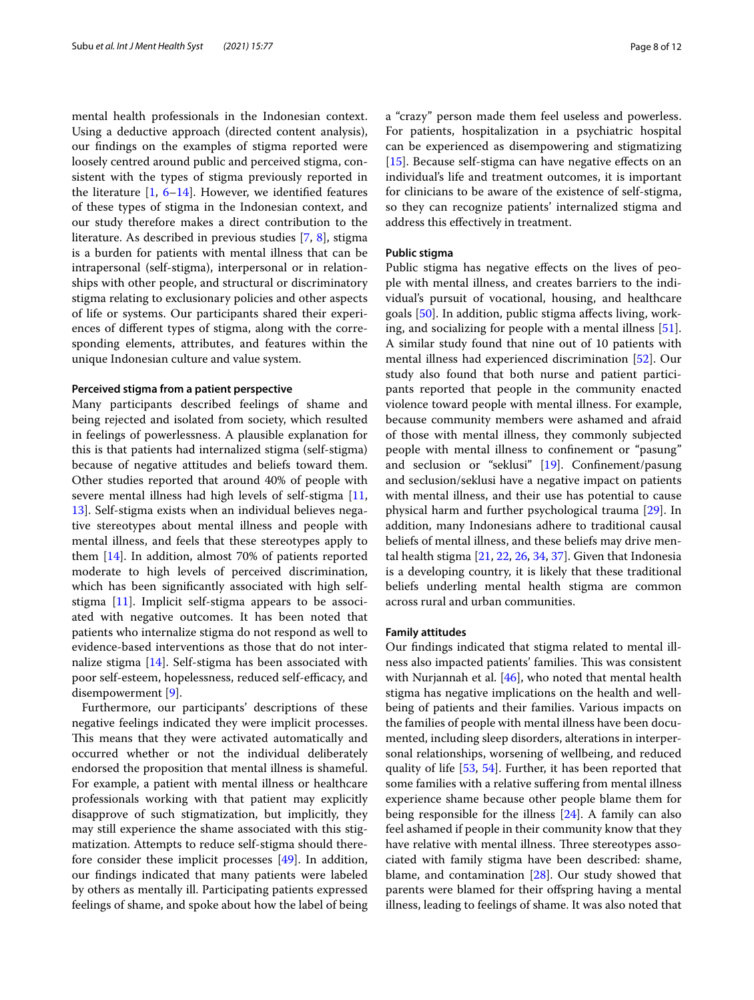mental health professionals in the Indonesian context. Using a deductive approach (directed content analysis), our fndings on the examples of stigma reported were loosely centred around public and perceived stigma, consistent with the types of stigma previously reported in the literature  $[1, 6-14]$  $[1, 6-14]$  $[1, 6-14]$  $[1, 6-14]$  $[1, 6-14]$ . However, we identified features of these types of stigma in the Indonesian context, and our study therefore makes a direct contribution to the literature. As described in previous studies [[7,](#page-9-5) [8\]](#page-9-6), stigma is a burden for patients with mental illness that can be intrapersonal (self-stigma), interpersonal or in relationships with other people, and structural or discriminatory stigma relating to exclusionary policies and other aspects of life or systems. Our participants shared their experiences of diferent types of stigma, along with the corresponding elements, attributes, and features within the unique Indonesian culture and value system.

#### **Perceived stigma from a patient perspective**

Many participants described feelings of shame and being rejected and isolated from society, which resulted in feelings of powerlessness. A plausible explanation for this is that patients had internalized stigma (self-stigma) because of negative attitudes and beliefs toward them. Other studies reported that around 40% of people with severe mental illness had high levels of self-stigma [\[11](#page-10-23), [13\]](#page-10-24). Self-stigma exists when an individual believes negative stereotypes about mental illness and people with mental illness, and feels that these stereotypes apply to them [[14\]](#page-10-0). In addition, almost 70% of patients reported moderate to high levels of perceived discrimination, which has been signifcantly associated with high selfstigma [[11\]](#page-10-23). Implicit self-stigma appears to be associated with negative outcomes. It has been noted that patients who internalize stigma do not respond as well to evidence-based interventions as those that do not internalize stigma [\[14\]](#page-10-0). Self-stigma has been associated with poor self-esteem, hopelessness, reduced self-efficacy, and disempowerment [[9\]](#page-9-7).

Furthermore, our participants' descriptions of these negative feelings indicated they were implicit processes. This means that they were activated automatically and occurred whether or not the individual deliberately endorsed the proposition that mental illness is shameful. For example, a patient with mental illness or healthcare professionals working with that patient may explicitly disapprove of such stigmatization, but implicitly, they may still experience the shame associated with this stigmatization. Attempts to reduce self-stigma should therefore consider these implicit processes [\[49](#page-10-25)]. In addition, our fndings indicated that many patients were labeled by others as mentally ill. Participating patients expressed feelings of shame, and spoke about how the label of being a "crazy" person made them feel useless and powerless. For patients, hospitalization in a psychiatric hospital can be experienced as disempowering and stigmatizing [[15\]](#page-10-1). Because self-stigma can have negative effects on an individual's life and treatment outcomes, it is important for clinicians to be aware of the existence of self-stigma, so they can recognize patients' internalized stigma and address this efectively in treatment.

#### **Public stigma**

Public stigma has negative effects on the lives of people with mental illness, and creates barriers to the individual's pursuit of vocational, housing, and healthcare goals [\[50](#page-10-26)]. In addition, public stigma afects living, working, and socializing for people with a mental illness [\[51](#page-10-27)]. A similar study found that nine out of 10 patients with mental illness had experienced discrimination [\[52\]](#page-10-28). Our study also found that both nurse and patient participants reported that people in the community enacted violence toward people with mental illness. For example, because community members were ashamed and afraid of those with mental illness, they commonly subjected people with mental illness to confnement or "pasung" and seclusion or "seklusi" [\[19\]](#page-10-5). Confnement/pasung and seclusion/seklusi have a negative impact on patients with mental illness, and their use has potential to cause physical harm and further psychological trauma [\[29](#page-10-13)]. In addition, many Indonesians adhere to traditional causal beliefs of mental illness, and these beliefs may drive mental health stigma [[21,](#page-10-8) [22](#page-10-7), [26,](#page-10-29) [34](#page-10-30), [37](#page-10-31)]. Given that Indonesia is a developing country, it is likely that these traditional beliefs underling mental health stigma are common across rural and urban communities.

#### **Family attitudes**

Our fndings indicated that stigma related to mental illness also impacted patients' families. This was consistent with Nurjannah et al. [\[46](#page-10-20)], who noted that mental health stigma has negative implications on the health and wellbeing of patients and their families. Various impacts on the families of people with mental illness have been documented, including sleep disorders, alterations in interpersonal relationships, worsening of wellbeing, and reduced quality of life [[53,](#page-10-32) [54\]](#page-10-33). Further, it has been reported that some families with a relative sufering from mental illness experience shame because other people blame them for being responsible for the illness [[24\]](#page-10-10). A family can also feel ashamed if people in their community know that they have relative with mental illness. Three stereotypes associated with family stigma have been described: shame, blame, and contamination [[28](#page-10-12)]. Our study showed that parents were blamed for their ofspring having a mental illness, leading to feelings of shame. It was also noted that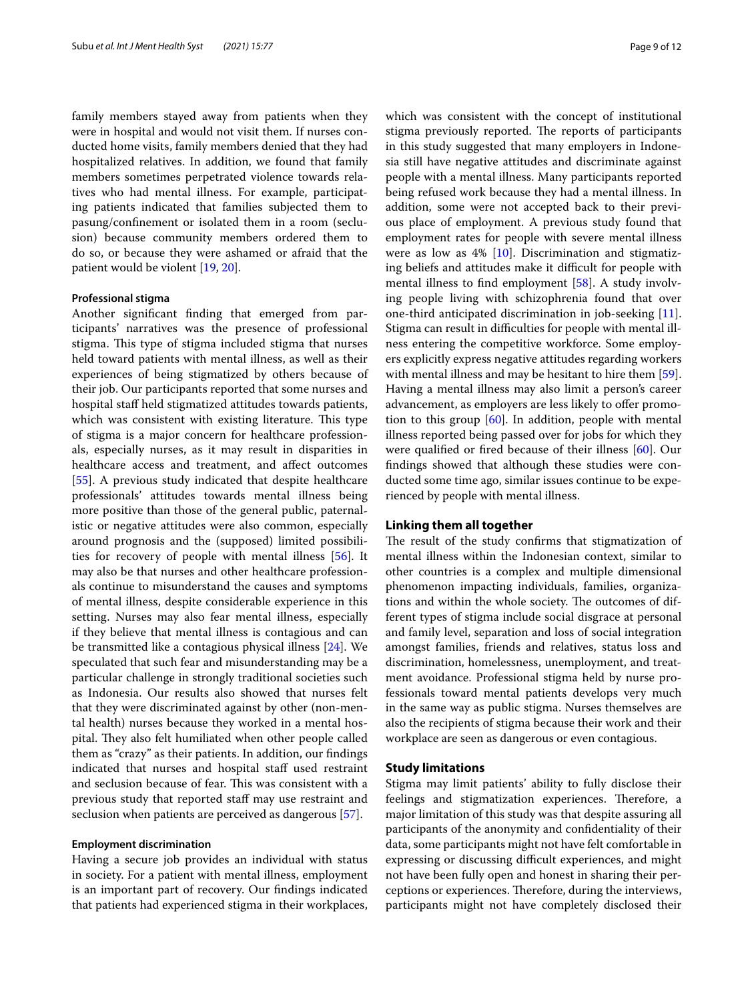family members stayed away from patients when they were in hospital and would not visit them. If nurses conducted home visits, family members denied that they had hospitalized relatives. In addition, we found that family members sometimes perpetrated violence towards relatives who had mental illness. For example, participating patients indicated that families subjected them to pasung/confnement or isolated them in a room (seclusion) because community members ordered them to do so, or because they were ashamed or afraid that the patient would be violent [[19,](#page-10-5) [20](#page-10-6)].

#### **Professional stigma**

Another signifcant fnding that emerged from participants' narratives was the presence of professional stigma. This type of stigma included stigma that nurses held toward patients with mental illness, as well as their experiences of being stigmatized by others because of their job. Our participants reported that some nurses and hospital staff held stigmatized attitudes towards patients, which was consistent with existing literature. This type of stigma is a major concern for healthcare professionals, especially nurses, as it may result in disparities in healthcare access and treatment, and affect outcomes [[55\]](#page-10-34). A previous study indicated that despite healthcare professionals' attitudes towards mental illness being more positive than those of the general public, paternalistic or negative attitudes were also common, especially around prognosis and the (supposed) limited possibilities for recovery of people with mental illness [\[56](#page-10-35)]. It may also be that nurses and other healthcare professionals continue to misunderstand the causes and symptoms of mental illness, despite considerable experience in this setting. Nurses may also fear mental illness, especially if they believe that mental illness is contagious and can be transmitted like a contagious physical illness [[24\]](#page-10-10). We speculated that such fear and misunderstanding may be a particular challenge in strongly traditional societies such as Indonesia. Our results also showed that nurses felt that they were discriminated against by other (non-mental health) nurses because they worked in a mental hospital. They also felt humiliated when other people called them as "crazy" as their patients. In addition, our fndings indicated that nurses and hospital staff used restraint and seclusion because of fear. This was consistent with a previous study that reported staf may use restraint and seclusion when patients are perceived as dangerous [\[57](#page-10-36)].

#### **Employment discrimination**

Having a secure job provides an individual with status in society. For a patient with mental illness, employment is an important part of recovery. Our fndings indicated that patients had experienced stigma in their workplaces, which was consistent with the concept of institutional stigma previously reported. The reports of participants in this study suggested that many employers in Indonesia still have negative attitudes and discriminate against people with a mental illness. Many participants reported being refused work because they had a mental illness. In addition, some were not accepted back to their previous place of employment. A previous study found that employment rates for people with severe mental illness were as low as 4% [\[10](#page-10-37)]. Discrimination and stigmatizing beliefs and attitudes make it difficult for people with mental illness to fnd employment [\[58](#page-11-0)]. A study involving people living with schizophrenia found that over one-third anticipated discrimination in job-seeking [\[11](#page-10-23)]. Stigma can result in difficulties for people with mental illness entering the competitive workforce. Some employers explicitly express negative attitudes regarding workers with mental illness and may be hesitant to hire them [\[59](#page-11-1)]. Having a mental illness may also limit a person's career advancement, as employers are less likely to offer promotion to this group [\[60](#page-11-2)]. In addition, people with mental illness reported being passed over for jobs for which they were qualifed or fred because of their illness [\[60\]](#page-11-2). Our fndings showed that although these studies were conducted some time ago, similar issues continue to be experienced by people with mental illness.

#### **Linking them all together**

The result of the study confirms that stigmatization of mental illness within the Indonesian context, similar to other countries is a complex and multiple dimensional phenomenon impacting individuals, families, organizations and within the whole society. The outcomes of different types of stigma include social disgrace at personal and family level, separation and loss of social integration amongst families, friends and relatives, status loss and discrimination, homelessness, unemployment, and treatment avoidance. Professional stigma held by nurse professionals toward mental patients develops very much in the same way as public stigma. Nurses themselves are also the recipients of stigma because their work and their workplace are seen as dangerous or even contagious.

#### **Study limitations**

Stigma may limit patients' ability to fully disclose their feelings and stigmatization experiences. Therefore, a major limitation of this study was that despite assuring all participants of the anonymity and confdentiality of their data, some participants might not have felt comfortable in expressing or discussing difficult experiences, and might not have been fully open and honest in sharing their perceptions or experiences. Therefore, during the interviews, participants might not have completely disclosed their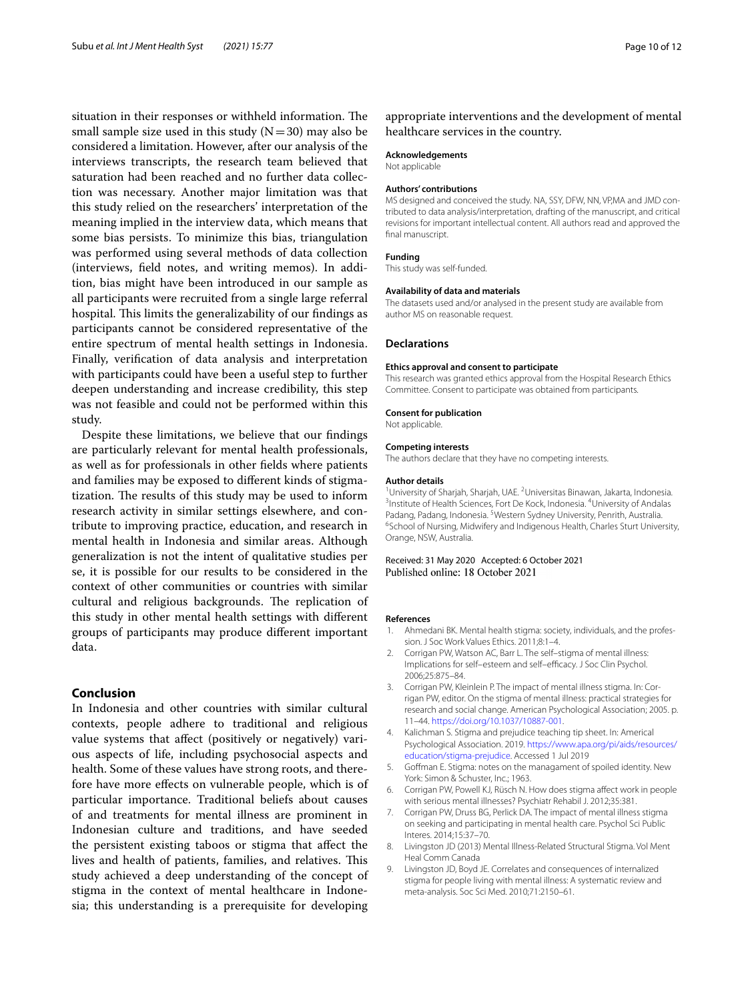situation in their responses or withheld information. The small sample size used in this study  $(N=30)$  may also be considered a limitation. However, after our analysis of the interviews transcripts, the research team believed that saturation had been reached and no further data collection was necessary. Another major limitation was that this study relied on the researchers' interpretation of the meaning implied in the interview data, which means that some bias persists. To minimize this bias, triangulation was performed using several methods of data collection (interviews, feld notes, and writing memos). In addition, bias might have been introduced in our sample as all participants were recruited from a single large referral hospital. This limits the generalizability of our findings as participants cannot be considered representative of the entire spectrum of mental health settings in Indonesia. Finally, verifcation of data analysis and interpretation with participants could have been a useful step to further deepen understanding and increase credibility, this step was not feasible and could not be performed within this study.

Despite these limitations, we believe that our fndings are particularly relevant for mental health professionals, as well as for professionals in other felds where patients and families may be exposed to diferent kinds of stigmatization. The results of this study may be used to inform research activity in similar settings elsewhere, and contribute to improving practice, education, and research in mental health in Indonesia and similar areas. Although generalization is not the intent of qualitative studies per se, it is possible for our results to be considered in the context of other communities or countries with similar cultural and religious backgrounds. The replication of this study in other mental health settings with diferent groups of participants may produce diferent important data.

#### **Conclusion**

In Indonesia and other countries with similar cultural contexts, people adhere to traditional and religious value systems that afect (positively or negatively) various aspects of life, including psychosocial aspects and health. Some of these values have strong roots, and therefore have more efects on vulnerable people, which is of particular importance. Traditional beliefs about causes of and treatments for mental illness are prominent in Indonesian culture and traditions, and have seeded the persistent existing taboos or stigma that afect the lives and health of patients, families, and relatives. This study achieved a deep understanding of the concept of stigma in the context of mental healthcare in Indonesia; this understanding is a prerequisite for developing

appropriate interventions and the development of mental healthcare services in the country.

#### **Acknowledgements**

Not applicable

#### **Authors' contributions**

MS designed and conceived the study. NA, SSY, DFW, NN, VP,MA and JMD contributed to data analysis/interpretation, drafting of the manuscript, and critical revisions for important intellectual content. All authors read and approved the final manuscript.

#### **Funding**

This study was self-funded.

#### **Availability of data and materials**

The datasets used and/or analysed in the present study are available from author MS on reasonable request.

#### **Declarations**

#### **Ethics approval and consent to participate**

This research was granted ethics approval from the Hospital Research Ethics Committee. Consent to participate was obtained from participants.

#### **Consent for publication**

Not applicable.

#### **Competing interests**

The authors declare that they have no competing interests.

#### **Author details**

<sup>1</sup> University of Sharjah, Sharjah, UAE. <sup>2</sup> Universitas Binawan, Jakarta, Indonesia.<br><sup>3</sup> Institute of Health Sciences, Fort De Kock, Indonesia. <sup>4</sup> University of Andalas. Institute of Health Sciences, Fort De Kock, Indonesia. <sup>4</sup>University of Andalas Padang, Padang, Indonesia. <sup>5</sup>Western Sydney University, Penrith, Australia.<br><sup>6</sup>School of Nursing, Midwifery and Indigenous Health, Charles Sturt Univer <sup>6</sup> School of Nursing, Midwifery and Indigenous Health, Charles Sturt University, Orange, NSW, Australia.

#### Received: 31 May 2020 Accepted: 6 October 2021 Published online: 18 October 2021

#### **References**

- <span id="page-9-0"></span>1. Ahmedani BK. Mental health stigma: society, individuals, and the profession. J Soc Work Values Ethics. 2011;8:1–4.
- 2. Corrigan PW, Watson AC, Barr L. The self–stigma of mental illness: Implications for self-esteem and self-efficacy. J Soc Clin Psychol. 2006;25:875–84.
- <span id="page-9-1"></span>3. Corrigan PW, Kleinlein P. The impact of mental illness stigma. In: Corrigan PW, editor. On the stigma of mental illness: practical strategies for research and social change. American Psychological Association; 2005. p. 11–44.<https://doi.org/10.1037/10887-001>.
- <span id="page-9-2"></span>4. Kalichman S. Stigma and prejudice teaching tip sheet. In: Americal Psychological Association. 2019. [https://www.apa.org/pi/aids/resources/](https://www.apa.org/pi/aids/resources/education/stigma-prejudice) [education/stigma-prejudice](https://www.apa.org/pi/aids/resources/education/stigma-prejudice). Accessed 1 Jul 2019
- <span id="page-9-3"></span>5. Gofman E. Stigma: notes on the managament of spoiled identity. New York: Simon & Schuster, Inc.; 1963.
- <span id="page-9-4"></span>6. Corrigan PW, Powell KJ, Rüsch N. How does stigma afect work in people with serious mental illnesses? Psychiatr Rehabil J. 2012;35:381.
- <span id="page-9-5"></span>7. Corrigan PW, Druss BG, Perlick DA. The impact of mental illness stigma on seeking and participating in mental health care. Psychol Sci Public Interes. 2014;15:37–70.
- <span id="page-9-6"></span>8. Livingston JD (2013) Mental Illness-Related Structural Stigma. Vol Ment Heal Comm Canada
- <span id="page-9-7"></span>9. Livingston JD, Boyd JE. Correlates and consequences of internalized stigma for people living with mental illness: A systematic review and meta-analysis. Soc Sci Med. 2010;71:2150–61.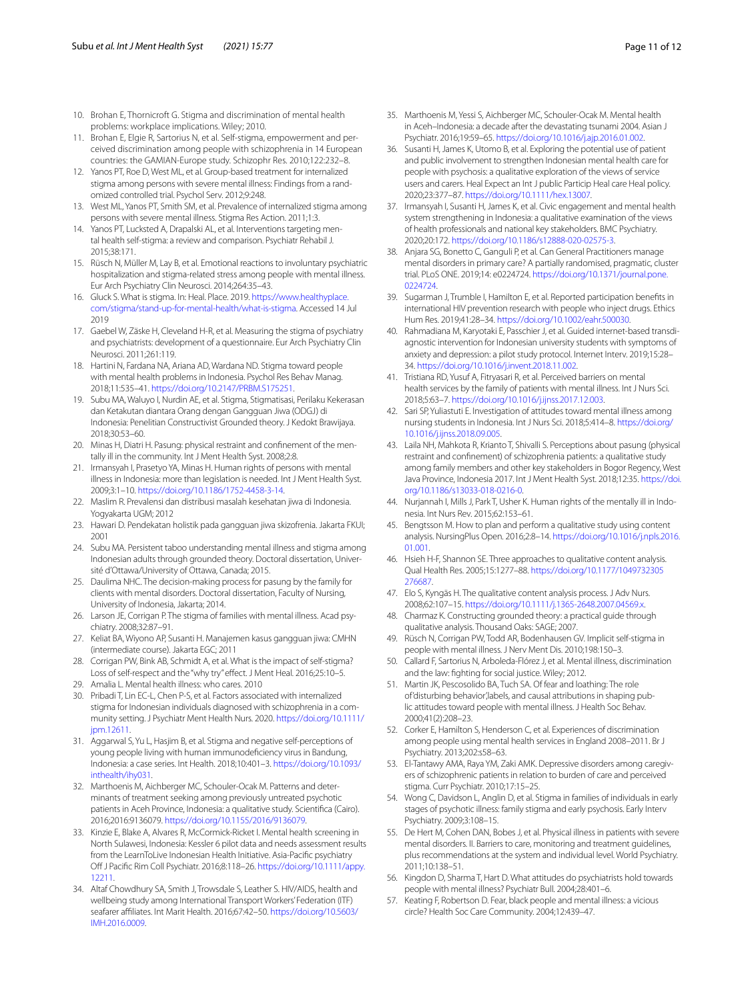- <span id="page-10-37"></span>10. Brohan E, Thornicroft G. Stigma and discrimination of mental health problems: workplace implications. Wiley; 2010.
- <span id="page-10-23"></span>11. Brohan E, Elgie R, Sartorius N, et al. Self-stigma, empowerment and perceived discrimination among people with schizophrenia in 14 European countries: the GAMIAN-Europe study. Schizophr Res. 2010;122:232–8.
- 12. Yanos PT, Roe D, West ML, et al. Group-based treatment for internalized stigma among persons with severe mental illness: Findings from a randomized controlled trial. Psychol Serv. 2012;9:248.
- <span id="page-10-24"></span>13. West ML, Yanos PT, Smith SM, et al. Prevalence of internalized stigma among persons with severe mental illness. Stigma Res Action. 2011;1:3.
- <span id="page-10-0"></span>14. Yanos PT, Lucksted A, Drapalski AL, et al. Interventions targeting mental health self-stigma: a review and comparison. Psychiatr Rehabil J. 2015;38:171.
- <span id="page-10-1"></span>15. Rüsch N, Müller M, Lay B, et al. Emotional reactions to involuntary psychiatric hospitalization and stigma-related stress among people with mental illness. Eur Arch Psychiatry Clin Neurosci. 2014;264:35–43.
- <span id="page-10-2"></span>16. Gluck S. What is stigma. In: Heal. Place. 2019. [https://www.healthyplace.](https://www.healthyplace.com/stigma/stand-up-for-mental-health/what-is-stigma) [com/stigma/stand-up-for-mental-health/what-is-stigma.](https://www.healthyplace.com/stigma/stand-up-for-mental-health/what-is-stigma) Accessed 14 Jul 2019
- <span id="page-10-3"></span>17. Gaebel W, Zäske H, Cleveland H-R, et al. Measuring the stigma of psychiatry and psychiatrists: development of a questionnaire. Eur Arch Psychiatry Clin Neurosci. 2011;261:119.
- <span id="page-10-4"></span>18. Hartini N, Fardana NA, Ariana AD, Wardana ND. Stigma toward people with mental health problems in Indonesia. Psychol Res Behav Manag. 2018;11:535–41. [https://doi.org/10.2147/PRBM.S175251.](https://doi.org/10.2147/PRBM.S175251)
- <span id="page-10-5"></span>19. Subu MA, Waluyo I, Nurdin AE, et al. Stigma, Stigmatisasi, Perilaku Kekerasan dan Ketakutan diantara Orang dengan Gangguan Jiwa (ODGJ) di Indonesia: Penelitian Constructivist Grounded theory. J Kedokt Brawijaya. 2018;30:53–60.
- <span id="page-10-6"></span>20. Minas H, Diatri H. Pasung: physical restraint and confinement of the mentally ill in the community. Int J Ment Health Syst. 2008;2:8.
- <span id="page-10-8"></span>21. Irmansyah I, Prasetyo YA, Minas H. Human rights of persons with mental illness in Indonesia: more than legislation is needed. Int J Ment Health Syst. 2009;3:1–10. [https://doi.org/10.1186/1752-4458-3-14.](https://doi.org/10.1186/1752-4458-3-14)
- <span id="page-10-7"></span>22. Maslim R. Prevalensi dan distribusi masalah kesehatan jiwa di Indonesia. Yogyakarta UGM; 2012
- <span id="page-10-9"></span>23. Hawari D. Pendekatan holistik pada gangguan jiwa skizofrenia. Jakarta FKUI; 2001
- <span id="page-10-10"></span>24. Subu MA. Persistent taboo understanding mental illness and stigma among Indonesian adults through grounded theory. Doctoral dissertation, Université d'Ottawa/University of Ottawa, Canada; 2015.
- <span id="page-10-11"></span>25. Daulima NHC. The decision-making process for pasung by the family for clients with mental disorders. Doctoral dissertation, Faculty of Nursing, University of Indonesia, Jakarta; 2014.
- <span id="page-10-29"></span>26. Larson JE, Corrigan P. The stigma of families with mental illness. Acad psychiatry. 2008;32:87–91.
- 27. Keliat BA, Wiyono AP, Susanti H. Manajemen kasus gangguan jiwa: CMHN (intermediate course). Jakarta EGC; 2011
- <span id="page-10-12"></span>28. Corrigan PW, Bink AB, Schmidt A, et al. What is the impact of self-stigma? Loss of self-respect and the "why try" effect. J Ment Heal. 2016;25:10-5.
- <span id="page-10-13"></span>29. Amalia L. Mental health illness: who cares. 2010
- <span id="page-10-14"></span>30. Pribadi T, Lin EC-L, Chen P-S, et al. Factors associated with internalized stigma for Indonesian individuals diagnosed with schizophrenia in a community setting. J Psychiatr Ment Health Nurs. 2020. [https://doi.org/10.1111/](https://doi.org/10.1111/jpm.12611) [jpm.12611](https://doi.org/10.1111/jpm.12611).
- <span id="page-10-16"></span>31. Aggarwal S, Yu L, Hasjim B, et al. Stigma and negative self-perceptions of young people living with human immunodefciency virus in Bandung, Indonesia: a case series. Int Health. 2018;10:401–3. [https://doi.org/10.1093/](https://doi.org/10.1093/inthealth/ihy031) [inthealth/ihy031](https://doi.org/10.1093/inthealth/ihy031).
- 32. Marthoenis M, Aichberger MC, Schouler-Ocak M. Patterns and determinants of treatment seeking among previously untreated psychotic patients in Aceh Province, Indonesia: a qualitative study. Scientifca (Cairo). 2016;2016:9136079.<https://doi.org/10.1155/2016/9136079>.
- 33. Kinzie E, Blake A, Alvares R, McCormick-Ricket I. Mental health screening in North Sulawesi, Indonesia: Kessler 6 pilot data and needs assessment results from the LearnToLive Indonesian Health Initiative. Asia-Pacifc psychiatry Off J Pacific Rim Coll Psychiatr. 2016;8:118-26. [https://doi.org/10.1111/appy.](https://doi.org/10.1111/appy.12211) [12211](https://doi.org/10.1111/appy.12211).
- <span id="page-10-30"></span>34. Altaf Chowdhury SA, Smith J, Trowsdale S, Leather S. HIV/AIDS, health and wellbeing study among International Transport Workers' Federation (ITF) seafarer afliates. Int Marit Health. 2016;67:42–50. [https://doi.org/10.5603/](https://doi.org/10.5603/IMH.2016.0009) [IMH.2016.0009](https://doi.org/10.5603/IMH.2016.0009).
- 35. Marthoenis M, Yessi S, Aichberger MC, Schouler-Ocak M. Mental health in Aceh–Indonesia: a decade after the devastating tsunami 2004. Asian J Psychiatr. 2016;19:59–65.<https://doi.org/10.1016/j.ajp.2016.01.002>.
- 36. Susanti H, James K, Utomo B, et al. Exploring the potential use of patient and public involvement to strengthen Indonesian mental health care for people with psychosis: a qualitative exploration of the views of service users and carers. Heal Expect an Int J public Particip Heal care Heal policy. 2020;23:377–87. <https://doi.org/10.1111/hex.13007>.
- <span id="page-10-31"></span>37. Irmansyah I, Susanti H, James K, et al. Civic engagement and mental health system strengthening in Indonesia: a qualitative examination of the views of health professionals and national key stakeholders. BMC Psychiatry. 2020;20:172. <https://doi.org/10.1186/s12888-020-02575-3>.
- 38. Anjara SG, Bonetto C, Ganguli P, et al. Can General Practitioners manage mental disorders in primary care? A partially randomised, pragmatic, cluster trial. PLoS ONE. 2019;14: e0224724. [https://doi.org/10.1371/journal.pone.](https://doi.org/10.1371/journal.pone.0224724) [0224724.](https://doi.org/10.1371/journal.pone.0224724)
- 39. Sugarman J, Trumble I, Hamilton E, et al. Reported participation benefts in international HIV prevention research with people who inject drugs. Ethics Hum Res. 2019;41:28–34. <https://doi.org/10.1002/eahr.500030>.
- 40. Rahmadiana M, Karyotaki E, Passchier J, et al. Guided internet-based transdiagnostic intervention for Indonesian university students with symptoms of anxiety and depression: a pilot study protocol. Internet Interv. 2019;15:28– 34. <https://doi.org/10.1016/j.invent.2018.11.002>.
- <span id="page-10-17"></span>41. Tristiana RD, Yusuf A, Fitryasari R, et al. Perceived barriers on mental health services by the family of patients with mental illness. Int J Nurs Sci. 2018;5:63–7. [https://doi.org/10.1016/j.ijnss.2017.12.003.](https://doi.org/10.1016/j.ijnss.2017.12.003)
- 42. Sari SP, Yuliastuti E. Investigation of attitudes toward mental illness among nursing students in Indonesia. Int J Nurs Sci. 2018;5:414–8. [https://doi.org/](https://doi.org/10.1016/j.ijnss.2018.09.005) [10.1016/j.ijnss.2018.09.005](https://doi.org/10.1016/j.ijnss.2018.09.005).
- <span id="page-10-15"></span>43. Laila NH, Mahkota R, Krianto T, Shivalli S. Perceptions about pasung (physical restraint and confnement) of schizophrenia patients: a qualitative study among family members and other key stakeholders in Bogor Regency, West Java Province, Indonesia 2017. Int J Ment Health Syst. 2018;12:35. [https://doi.](https://doi.org/10.1186/s13033-018-0216-0) [org/10.1186/s13033-018-0216-0.](https://doi.org/10.1186/s13033-018-0216-0)
- <span id="page-10-18"></span>44. Nurjannah I, Mills J, Park T, Usher K. Human rights of the mentally ill in Indonesia. Int Nurs Rev. 2015;62:153–61.
- <span id="page-10-19"></span>45. Bengtsson M. How to plan and perform a qualitative study using content analysis. NursingPlus Open. 2016;2:8–14. [https://doi.org/10.1016/j.npls.2016.](https://doi.org/10.1016/j.npls.2016.01.001) [01.001.](https://doi.org/10.1016/j.npls.2016.01.001)
- <span id="page-10-20"></span>46. Hsieh H-F, Shannon SE. Three approaches to qualitative content analysis. Qual Health Res. 2005;15:1277–88. [https://doi.org/10.1177/1049732305](https://doi.org/10.1177/1049732305276687) [276687](https://doi.org/10.1177/1049732305276687).
- <span id="page-10-21"></span>47. Elo S, Kyngäs H. The qualitative content analysis process. J Adv Nurs. 2008;62:107–15. [https://doi.org/10.1111/j.1365-2648.2007.04569.x.](https://doi.org/10.1111/j.1365-2648.2007.04569.x)
- <span id="page-10-22"></span>48. Charmaz K. Constructing grounded theory: a practical guide through qualitative analysis. Thousand Oaks: SAGE; 2007.
- <span id="page-10-25"></span>49. Rüsch N, Corrigan PW, Todd AR, Bodenhausen GV. Implicit self-stigma in people with mental illness. J Nerv Ment Dis. 2010;198:150–3.
- <span id="page-10-26"></span>50. Callard F, Sartorius N, Arboleda-Flórez J, et al. Mental illness, discrimination and the law: fghting for social justice. Wiley; 2012.
- <span id="page-10-27"></span>51. Martin JK, Pescosolido BA, Tuch SA. Of fear and loathing: The role of'disturbing behavior',labels, and causal attributions in shaping public attitudes toward people with mental illness. J Health Soc Behav. 2000;41(2):208–23.
- <span id="page-10-28"></span>52. Corker E, Hamilton S, Henderson C, et al. Experiences of discrimination among people using mental health services in England 2008–2011. Br J Psychiatry. 2013;202:s58–63.
- <span id="page-10-32"></span>53. El-Tantawy AMA, Raya YM, Zaki AMK. Depressive disorders among caregivers of schizophrenic patients in relation to burden of care and perceived stigma. Curr Psychiatr. 2010;17:15–25.
- <span id="page-10-33"></span>54. Wong C, Davidson L, Anglin D, et al. Stigma in families of individuals in early stages of psychotic illness: family stigma and early psychosis. Early Interv Psychiatry. 2009;3:108–15.
- <span id="page-10-34"></span>55. De Hert M, Cohen DAN, Bobes J, et al. Physical illness in patients with severe mental disorders. II. Barriers to care, monitoring and treatment guidelines, plus recommendations at the system and individual level. World Psychiatry. 2011;10:138–51.
- <span id="page-10-35"></span>56. Kingdon D, Sharma T, Hart D. What attitudes do psychiatrists hold towards people with mental illness? Psychiatr Bull. 2004;28:401–6.
- <span id="page-10-36"></span>57. Keating F, Robertson D. Fear, black people and mental illness: a vicious circle? Health Soc Care Community. 2004;12:439–47.